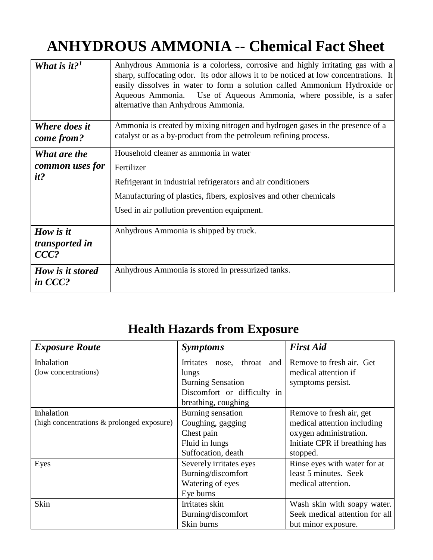## **ANHYDROUS AMMONIA -- Chemical Fact Sheet**

| What is it? <sup>1</sup>               | Anhydrous Ammonia is a colorless, corrosive and highly irritating gas with a<br>sharp, suffocating odor. Its odor allows it to be noticed at low concentrations. It<br>easily dissolves in water to form a solution called Ammonium Hydroxide or<br>Use of Aqueous Ammonia, where possible, is a safer<br>Aqueous Ammonia.<br>alternative than Anhydrous Ammonia. |
|----------------------------------------|-------------------------------------------------------------------------------------------------------------------------------------------------------------------------------------------------------------------------------------------------------------------------------------------------------------------------------------------------------------------|
| Where does it<br>come from?            | Ammonia is created by mixing nitrogen and hydrogen gases in the presence of a<br>catalyst or as a by-product from the petroleum refining process.                                                                                                                                                                                                                 |
| What are the<br>common uses for<br>it? | Household cleaner as ammonia in water<br>Fertilizer<br>Refrigerant in industrial refrigerators and air conditioners<br>Manufacturing of plastics, fibers, explosives and other chemicals<br>Used in air pollution prevention equipment.                                                                                                                           |
| How is it<br>transported in<br>$CCC$ ? | Anhydrous Ammonia is shipped by truck.                                                                                                                                                                                                                                                                                                                            |
| How is it stored<br>in CCC?            | Anhydrous Ammonia is stored in pressurized tanks.                                                                                                                                                                                                                                                                                                                 |

## **Health Hazards from Exposure**

| <b>Exposure Route</b>                      | <b>Symptoms</b>                            | <b>First Aid</b>               |
|--------------------------------------------|--------------------------------------------|--------------------------------|
| Inhalation                                 | <b>Irritates</b><br>throat<br>and<br>nose, | Remove to fresh air. Get       |
| (low concentrations)                       | lungs                                      | medical attention if           |
|                                            | <b>Burning Sensation</b>                   | symptoms persist.              |
|                                            | Discomfort or difficulty in                |                                |
|                                            | breathing, coughing                        |                                |
| Inhalation                                 | Burning sensation                          | Remove to fresh air, get       |
| (high concentrations & prolonged exposure) | Coughing, gagging                          | medical attention including    |
|                                            | Chest pain                                 | oxygen administration.         |
|                                            | Fluid in lungs                             | Initiate CPR if breathing has  |
|                                            | Suffocation, death                         | stopped.                       |
| Eyes                                       | Severely irritates eyes                    | Rinse eyes with water for at   |
|                                            | Burning/discomfort                         | least 5 minutes. Seek          |
|                                            | Watering of eyes                           | medical attention.             |
|                                            | Eye burns                                  |                                |
| Skin                                       | Irritates skin                             | Wash skin with soapy water.    |
|                                            | Burning/discomfort                         | Seek medical attention for all |
|                                            | Skin burns                                 | but minor exposure.            |